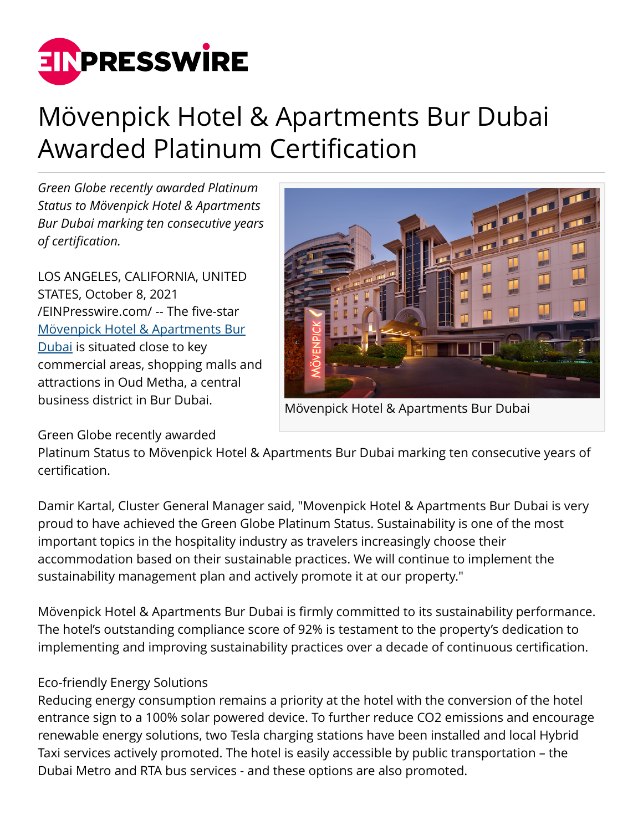

# Mövenpick Hotel & Apartments Bur Dubai Awarded Platinum Certification

*Green Globe recently awarded Platinum Status to Mövenpick Hotel & Apartments Bur Dubai marking ten consecutive years of certification.*

LOS ANGELES, CALIFORNIA, UNITED STATES, October 8, 2021 [/EINPresswire.com/](http://www.einpresswire.com) -- The five-star [Mövenpick Hotel & Apartments Bur](https://www.movenpick.com/en/middle-east/uae/dubai/hotel-dubai-bur/overview/) [Dubai](https://www.movenpick.com/en/middle-east/uae/dubai/hotel-dubai-bur/overview/) is situated close to key commercial areas, shopping malls and attractions in Oud Metha, a central business district in Bur Dubai.

Mövenpick Hotel & Apartments Bur Dubai

# Green Globe recently awarded

Platinum Status to Mövenpick Hotel & Apartments Bur Dubai marking ten consecutive years of certification.

Damir Kartal, Cluster General Manager said, "Movenpick Hotel & Apartments Bur Dubai is very proud to have achieved the Green Globe Platinum Status. Sustainability is one of the most important topics in the hospitality industry as travelers increasingly choose their accommodation based on their sustainable practices. We will continue to implement the sustainability management plan and actively promote it at our property."

Mövenpick Hotel & Apartments Bur Dubai is firmly committed to its sustainability performance. The hotel's outstanding compliance score of 92% is testament to the property's dedication to implementing and improving sustainability practices over a decade of continuous certification.

# Eco-friendly Energy Solutions

Reducing energy consumption remains a priority at the hotel with the conversion of the hotel entrance sign to a 100% solar powered device. To further reduce CO2 emissions and encourage renewable energy solutions, two Tesla charging stations have been installed and local Hybrid Taxi services actively promoted. The hotel is easily accessible by public transportation – the Dubai Metro and RTA bus services - and these options are also promoted.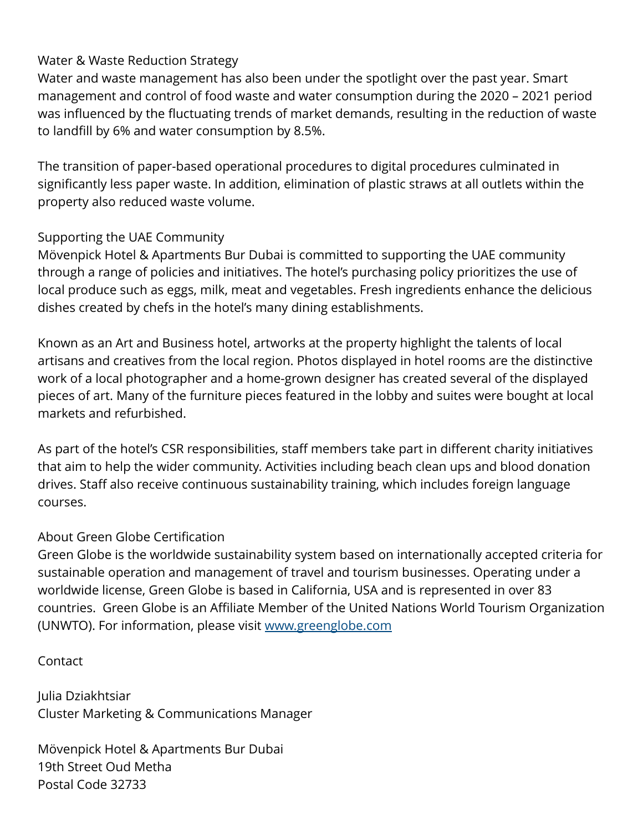# Water & Waste Reduction Strategy

Water and waste management has also been under the spotlight over the past year. Smart management and control of food waste and water consumption during the 2020 – 2021 period was influenced by the fluctuating trends of market demands, resulting in the reduction of waste to landfill by 6% and water consumption by 8.5%.

The transition of paper-based operational procedures to digital procedures culminated in significantly less paper waste. In addition, elimination of plastic straws at all outlets within the property also reduced waste volume.

# Supporting the UAE Community

Mövenpick Hotel & Apartments Bur Dubai is committed to supporting the UAE community through a range of policies and initiatives. The hotel's purchasing policy prioritizes the use of local produce such as eggs, milk, meat and vegetables. Fresh ingredients enhance the delicious dishes created by chefs in the hotel's many dining establishments.

Known as an Art and Business hotel, artworks at the property highlight the talents of local artisans and creatives from the local region. Photos displayed in hotel rooms are the distinctive work of a local photographer and a home-grown designer has created several of the displayed pieces of art. Many of the furniture pieces featured in the lobby and suites were bought at local markets and refurbished.

As part of the hotel's CSR responsibilities, staff members take part in different charity initiatives that aim to help the wider community. Activities including beach clean ups and blood donation drives. Staff also receive continuous sustainability training, which includes foreign language courses.

# About Green Globe Certification

Green Globe is the worldwide sustainability system based on internationally accepted criteria for sustainable operation and management of travel and tourism businesses. Operating under a worldwide license, Green Globe is based in California, USA and is represented in over 83 countries. Green Globe is an Affiliate Member of the United Nations World Tourism Organization (UNWTO). For information, please visit [www.greenglobe.com](http://www.greenglobe.com)

# Contact

Julia Dziakhtsiar Cluster Marketing & Communications Manager

Mövenpick Hotel & Apartments Bur Dubai 19th Street Oud Metha Postal Code 32733